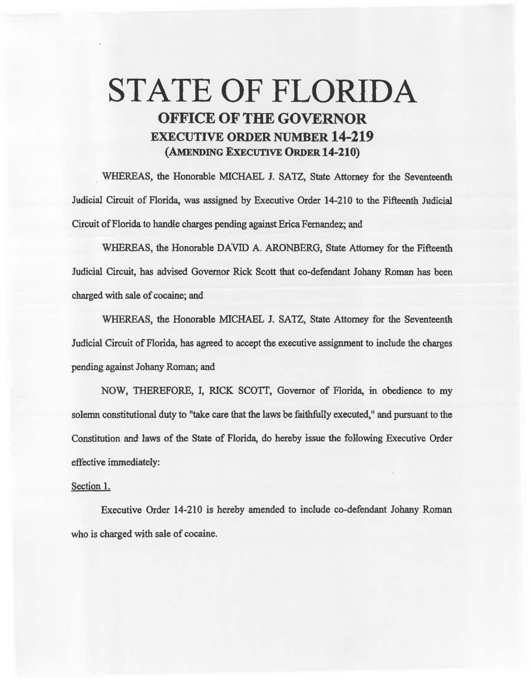## STATE OF FLORIDA OFFICE OF THE GOVERNOR EXECUTIVE ORDER NUMBER 14-219 (AMENDING EXECUTIVE ORDER 14-210)

WHEREAS, the Honorable MICHAEL I. SATZ, State Attomey for the Seventeenth Jadicial Circuit of Florida, was assigned by Executive Order 14-210 to the Fifteenth Judicial Circuit of Florida to handle charges pending against Erica Fernandez; and

WHEREAS, the Honorable DAVID A. ARONBERG, State Attorney for the Fifteenth Judicial Circuit, has advised Governor Rick Scott that co-defendant Johany Roman has been charged with sale of cocaine; and

WHEREAS, the Honorable MICHAEL J. SATZ, State Attorney for the Seventeenth Judicial Circuit of Florida, has agreed to accept the executive assignment to include the charges pending against Johany Roman; and

NOW, THEREFORE, I, RICK SCOTT, Governor of Florida, in obedience to my solemn constitutional duty to "take care that the laws be faithfully executed," and pursuant to the Constitution and laws of the State of Florida, do hereby issue the following Executive Order effective immediately:

## Section 1.

Executive Order 14-210 is hereby amended to include co-defendant Johany Roman who is charged with sale of cocaine.